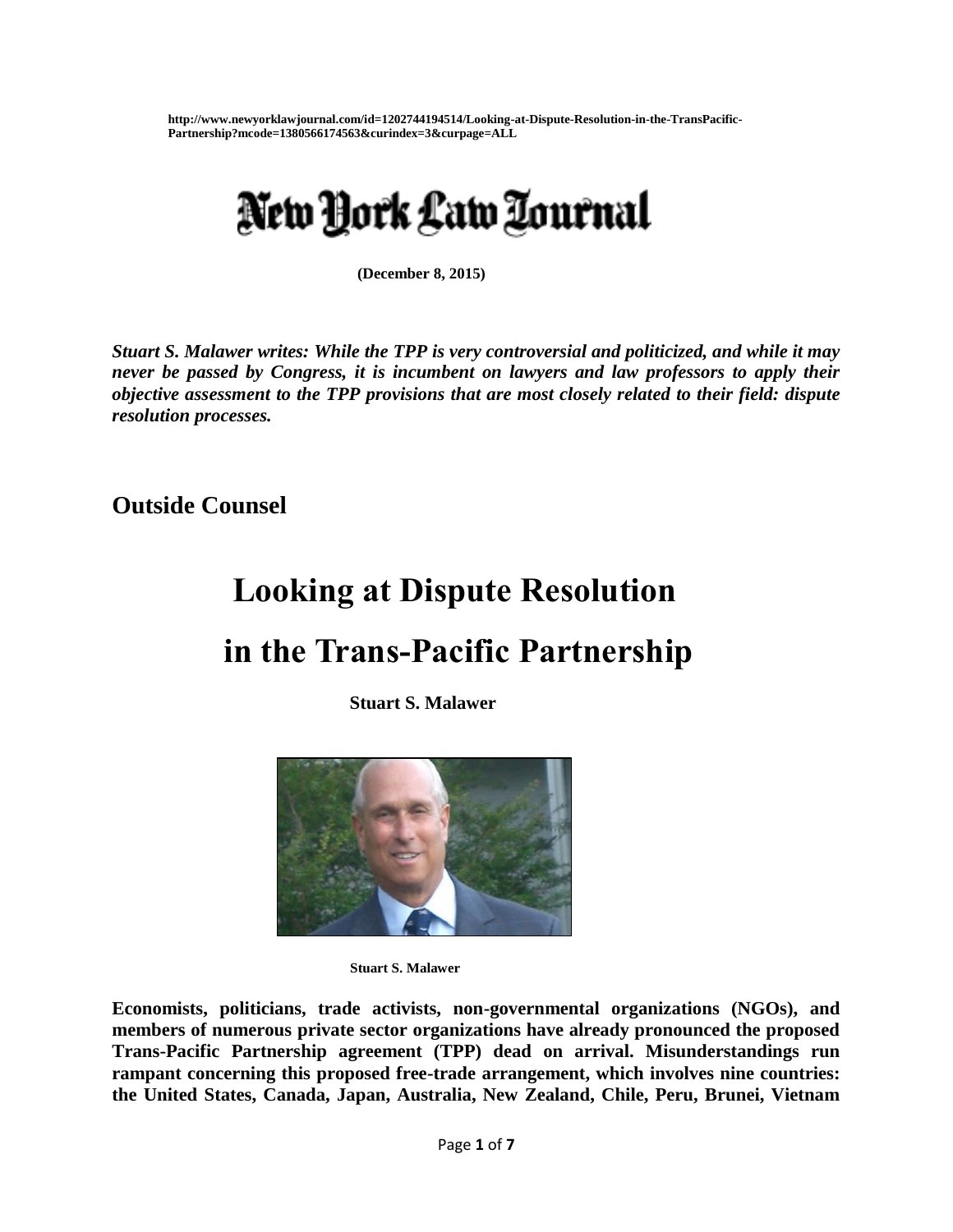**http://www.newyorklawjournal.com/id=1202744194514/Looking-at-Dispute-Resolution-in-the-TransPacific-Partnership?mcode=1380566174563&curindex=3&curpage=ALL**

# New York Law Zournal

 **(December 8, 2015)**

*Stuart S. Malawer writes: While the TPP is very controversial and politicized, and while it may never be passed by Congress, it is incumbent on lawyers and law professors to apply their objective assessment to the TPP provisions that are most closely related to their field: dispute resolution processes.* 

**Outside Counsel**

# **Looking at Dispute Resolution**

# **in the Trans-Pacific Partnership**

**Stuart S. Malawer**



**Stuart S. Malawer**

**Economists, politicians, trade activists, non-governmental organizations (NGOs), and members of numerous private sector organizations have already pronounced the proposed Trans-Pacific Partnership agreement (TPP) dead on arrival. Misunderstandings run rampant concerning this proposed free-trade arrangement, which involves nine countries: the United States, Canada, Japan, Australia, New Zealand, Chile, Peru, Brunei, Vietnam**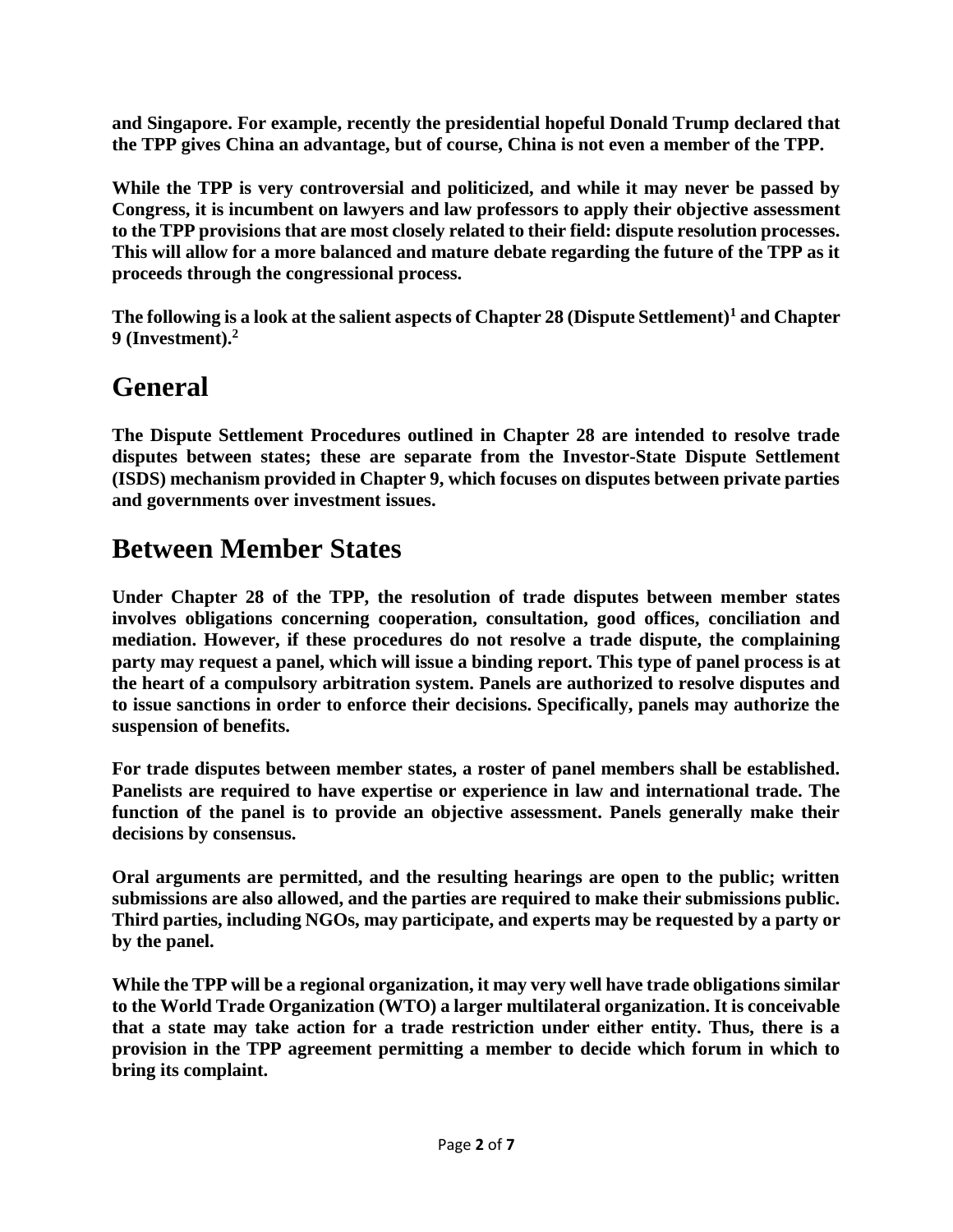**and Singapore. For example, recently the presidential hopeful Donald Trump declared that the TPP gives China an advantage, but of course, China is not even a member of the TPP.**

**While the TPP is very controversial and politicized, and while it may never be passed by Congress, it is incumbent on lawyers and law professors to apply their objective assessment to the TPP provisions that are most closely related to their field: dispute resolution processes. This will allow for a more balanced and mature debate regarding the future of the TPP as it proceeds through the congressional process.**

**The following is a look at the salient aspects of Chapter 28 (Dispute Settlement)<sup>1</sup> and Chapter 9 (Investment).<sup>2</sup>**

#### **General**

**The Dispute Settlement Procedures outlined in Chapter 28 are intended to resolve trade disputes between states; these are separate from the Investor-State Dispute Settlement (ISDS) mechanism provided in Chapter 9, which focuses on disputes between private parties and governments over investment issues.**

#### **Between Member States**

**Under Chapter 28 of the TPP, the resolution of trade disputes between member states involves obligations concerning cooperation, consultation, good offices, conciliation and mediation. However, if these procedures do not resolve a trade dispute, the complaining party may request a panel, which will issue a binding report. This type of panel process is at the heart of a compulsory arbitration system. Panels are authorized to resolve disputes and to issue sanctions in order to enforce their decisions. Specifically, panels may authorize the suspension of benefits.**

**For trade disputes between member states, a roster of panel members shall be established. Panelists are required to have expertise or experience in law and international trade. The function of the panel is to provide an objective assessment. Panels generally make their decisions by consensus.**

**Oral arguments are permitted, and the resulting hearings are open to the public; written submissions are also allowed, and the parties are required to make their submissions public. Third parties, including NGOs, may participate, and experts may be requested by a party or by the panel.**

**While the TPP will be a regional organization, it may very well have trade obligations similar to the World Trade Organization (WTO) a larger multilateral organization. It is conceivable that a state may take action for a trade restriction under either entity. Thus, there is a provision in the TPP agreement permitting a member to decide which forum in which to bring its complaint.**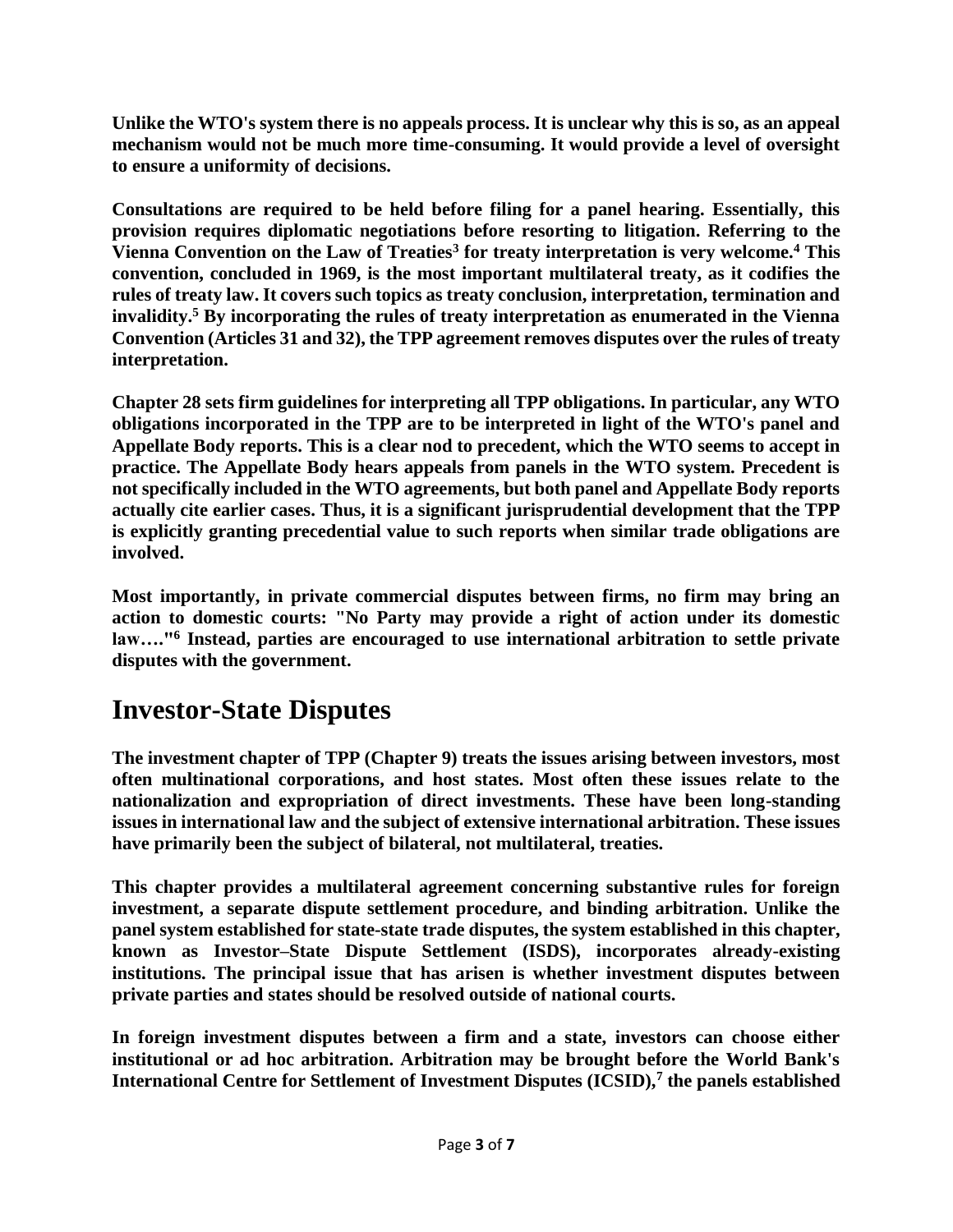**Unlike the WTO's system there is no appeals process. It is unclear why this is so, as an appeal mechanism would not be much more time-consuming. It would provide a level of oversight to ensure a uniformity of decisions.**

**Consultations are required to be held before filing for a panel hearing. Essentially, this provision requires diplomatic negotiations before resorting to litigation. Referring to the Vienna Convention on the Law of Treaties<sup>3</sup> for treaty interpretation is very welcome.<sup>4</sup> This convention, concluded in 1969, is the most important multilateral treaty, as it codifies the rules of treaty law. It covers such topics as treaty conclusion, interpretation, termination and invalidity.<sup>5</sup> By incorporating the rules of treaty interpretation as enumerated in the Vienna Convention (Articles 31 and 32), the TPP agreement removes disputes over the rules of treaty interpretation.**

**Chapter 28 sets firm guidelines for interpreting all TPP obligations. In particular, any WTO obligations incorporated in the TPP are to be interpreted in light of the WTO's panel and Appellate Body reports. This is a clear nod to precedent, which the WTO seems to accept in practice. The Appellate Body hears appeals from panels in the WTO system. Precedent is not specifically included in the WTO agreements, but both panel and Appellate Body reports actually cite earlier cases. Thus, it is a significant jurisprudential development that the TPP is explicitly granting precedential value to such reports when similar trade obligations are involved.**

**Most importantly, in private commercial disputes between firms, no firm may bring an action to domestic courts: "No Party may provide a right of action under its domestic law…."<sup>6</sup> Instead, parties are encouraged to use international arbitration to settle private disputes with the government.**

## **Investor-State Disputes**

**The investment chapter of TPP (Chapter 9) treats the issues arising between investors, most often multinational corporations, and host states. Most often these issues relate to the nationalization and expropriation of direct investments. These have been long-standing issues in international law and the subject of extensive international arbitration. These issues have primarily been the subject of bilateral, not multilateral, treaties.**

**This chapter provides a multilateral agreement concerning substantive rules for foreign investment, a separate dispute settlement procedure, and binding arbitration. Unlike the panel system established for state-state trade disputes, the system established in this chapter, known as Investor–State Dispute Settlement (ISDS), incorporates already-existing institutions. The principal issue that has arisen is whether investment disputes between private parties and states should be resolved outside of national courts.**

**In foreign investment disputes between a firm and a state, investors can choose either institutional or ad hoc arbitration. Arbitration may be brought before the World Bank's International Centre for Settlement of Investment Disputes (ICSID),<sup>7</sup> the panels established**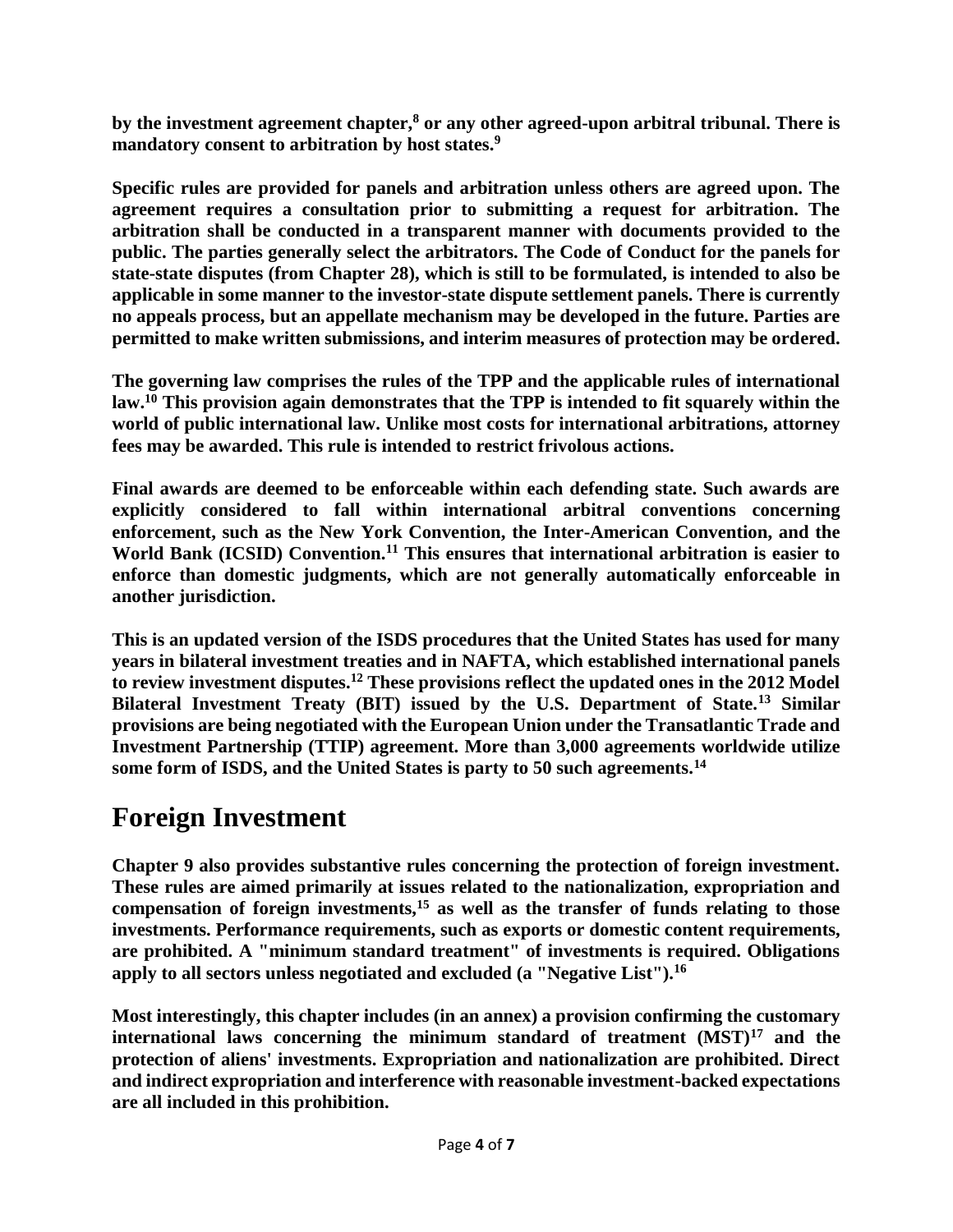**by the investment agreement chapter,<sup>8</sup> or any other agreed-upon arbitral tribunal. There is mandatory consent to arbitration by host states.<sup>9</sup>**

**Specific rules are provided for panels and arbitration unless others are agreed upon. The agreement requires a consultation prior to submitting a request for arbitration. The arbitration shall be conducted in a transparent manner with documents provided to the public. The parties generally select the arbitrators. The Code of Conduct for the panels for state-state disputes (from Chapter 28), which is still to be formulated, is intended to also be applicable in some manner to the investor-state dispute settlement panels. There is currently no appeals process, but an appellate mechanism may be developed in the future. Parties are permitted to make written submissions, and interim measures of protection may be ordered.**

**The governing law comprises the rules of the TPP and the applicable rules of international law.<sup>10</sup> This provision again demonstrates that the TPP is intended to fit squarely within the world of public international law. Unlike most costs for international arbitrations, attorney fees may be awarded. This rule is intended to restrict frivolous actions.**

**Final awards are deemed to be enforceable within each defending state. Such awards are explicitly considered to fall within international arbitral conventions concerning enforcement, such as the New York Convention, the Inter-American Convention, and the World Bank (ICSID) Convention.<sup>11</sup> This ensures that international arbitration is easier to enforce than domestic judgments, which are not generally automatically enforceable in another jurisdiction.**

**This is an updated version of the ISDS procedures that the United States has used for many years in bilateral investment treaties and in NAFTA, which established international panels to review investment disputes.<sup>12</sup> These provisions reflect the updated ones in the 2012 Model Bilateral Investment Treaty (BIT) issued by the U.S. Department of State.<sup>13</sup> Similar provisions are being negotiated with the European Union under the Transatlantic Trade and Investment Partnership (TTIP) agreement. More than 3,000 agreements worldwide utilize some form of ISDS, and the United States is party to 50 such agreements.<sup>14</sup>**

#### **Foreign Investment**

**Chapter 9 also provides substantive rules concerning the protection of foreign investment. These rules are aimed primarily at issues related to the nationalization, expropriation and compensation of foreign investments,<sup>15</sup> as well as the transfer of funds relating to those investments. Performance requirements, such as exports or domestic content requirements, are prohibited. A "minimum standard treatment" of investments is required. Obligations apply to all sectors unless negotiated and excluded (a "Negative List").<sup>16</sup>**

**Most interestingly, this chapter includes (in an annex) a provision confirming the customary international laws concerning the minimum standard of treatment (MST)<sup>17</sup> and the protection of aliens' investments. Expropriation and nationalization are prohibited. Direct and indirect expropriation and interference with reasonable investment-backed expectations are all included in this prohibition.**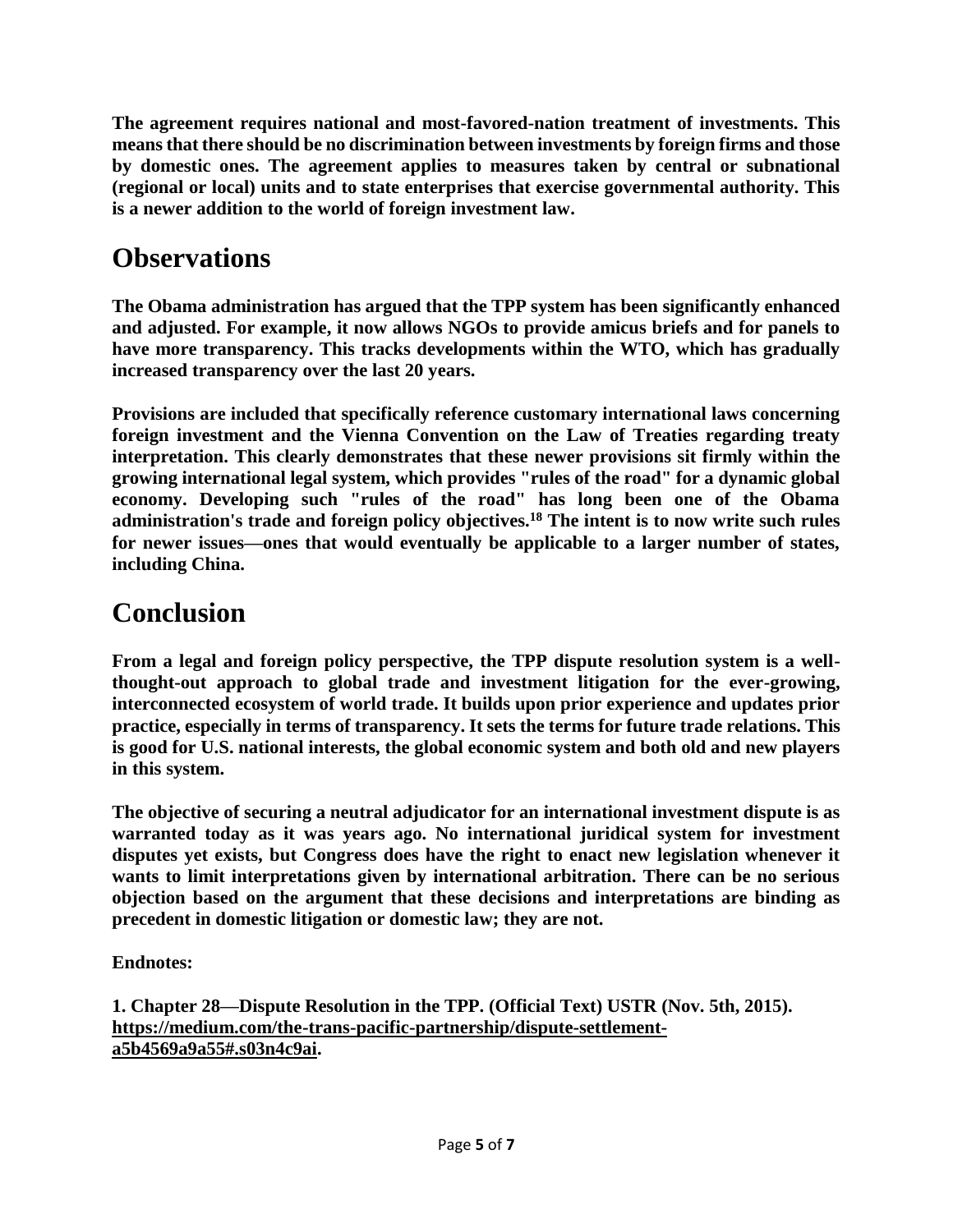**The agreement requires national and most-favored-nation treatment of investments. This means that there should be no discrimination between investments by foreign firms and those by domestic ones. The agreement applies to measures taken by central or subnational (regional or local) units and to state enterprises that exercise governmental authority. This is a newer addition to the world of foreign investment law.**

## **Observations**

**The Obama administration has argued that the TPP system has been significantly enhanced and adjusted. For example, it now allows NGOs to provide amicus briefs and for panels to have more transparency. This tracks developments within the WTO, which has gradually increased transparency over the last 20 years.**

**Provisions are included that specifically reference customary international laws concerning foreign investment and the Vienna Convention on the Law of Treaties regarding treaty interpretation. This clearly demonstrates that these newer provisions sit firmly within the growing international legal system, which provides "rules of the road" for a dynamic global economy. Developing such "rules of the road" has long been one of the Obama administration's trade and foreign policy objectives.<sup>18</sup> The intent is to now write such rules for newer issues—ones that would eventually be applicable to a larger number of states, including China.**

## **Conclusion**

**From a legal and foreign policy perspective, the TPP dispute resolution system is a wellthought-out approach to global trade and investment litigation for the ever-growing, interconnected ecosystem of world trade. It builds upon prior experience and updates prior practice, especially in terms of transparency. It sets the terms for future trade relations. This is good for U.S. national interests, the global economic system and both old and new players in this system.**

**The objective of securing a neutral adjudicator for an international investment dispute is as warranted today as it was years ago. No international juridical system for investment disputes yet exists, but Congress does have the right to enact new legislation whenever it wants to limit interpretations given by international arbitration. There can be no serious objection based on the argument that these decisions and interpretations are binding as precedent in domestic litigation or domestic law; they are not.**

**Endnotes:**

**1. Chapter 28—Dispute Resolution in the TPP. (Official Text) USTR (Nov. 5th, 2015). [https://medium.com/the-trans-pacific-partnership/dispute-settlement](https://medium.com/the-trans-pacific-partnership/dispute-settlement-a5b4569a9a55#.s03n4c9ai)[a5b4569a9a55#.s03n4c9ai.](https://medium.com/the-trans-pacific-partnership/dispute-settlement-a5b4569a9a55#.s03n4c9ai)**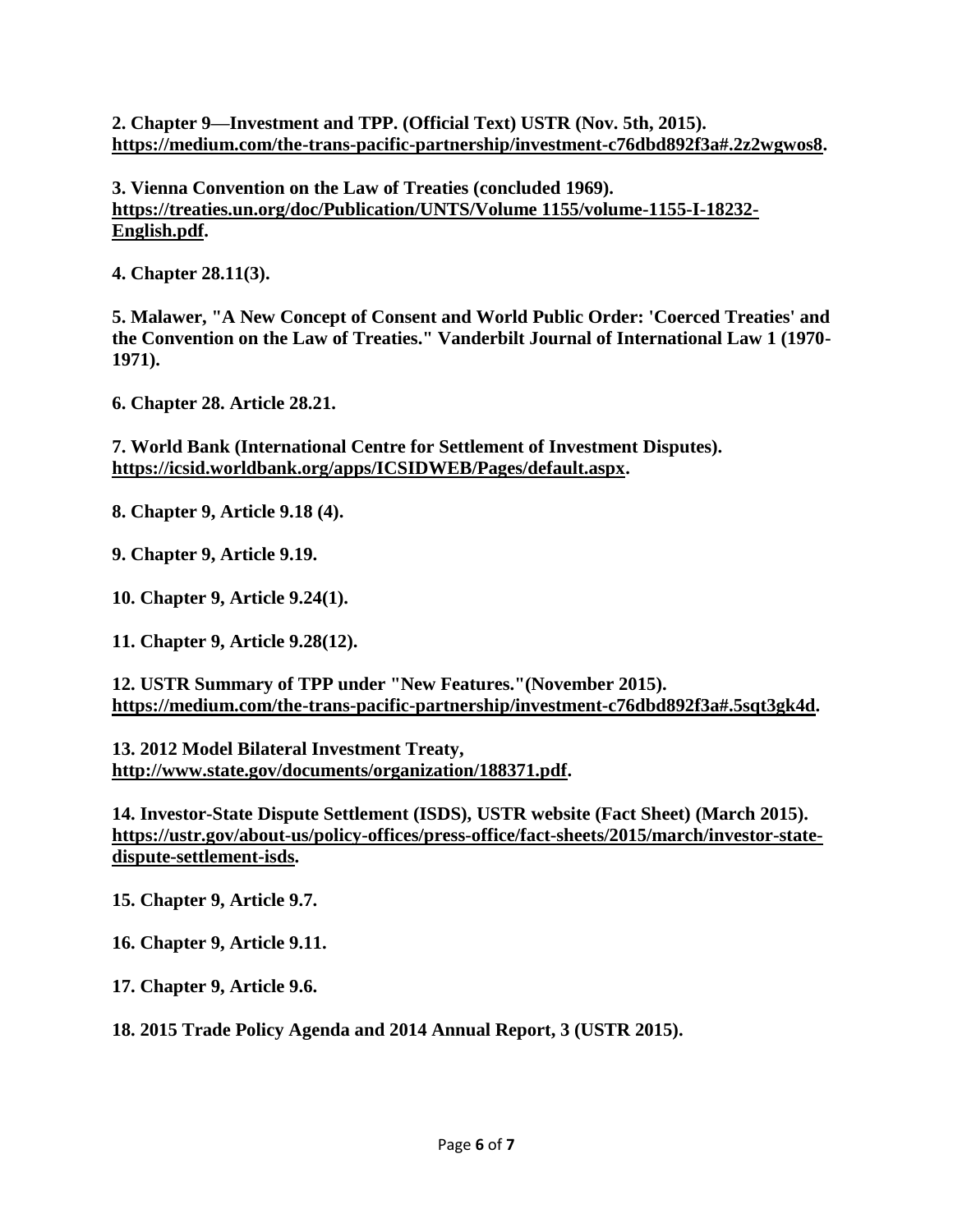**2. Chapter 9—Investment and TPP. (Official Text) USTR (Nov. 5th, 2015). [https://medium.com/the-trans-pacific-partnership/investment-c76dbd892f3a#.2z2wgwos8.](https://medium.com/the-trans-pacific-partnership/investment-c76dbd892f3a#.2z2wgwos8)**

**3. Vienna Convention on the Law of Treaties (concluded 1969). [https://treaties.un.org/doc/Publication/UNTS/Volume 1155/volume-1155-I-18232-](https://treaties.un.org/doc/Publication/UNTS/Volume%201155/volume-1155-I-18232-English.pdf) [English.pdf.](https://treaties.un.org/doc/Publication/UNTS/Volume%201155/volume-1155-I-18232-English.pdf)**

**4. Chapter 28.11(3).**

**5. Malawer, "A New Concept of Consent and World Public Order: 'Coerced Treaties' and the Convention on the Law of Treaties." Vanderbilt Journal of International Law 1 (1970- 1971).**

**6. Chapter 28. Article 28.21.**

**7. World Bank (International Centre for Settlement of Investment Disputes). [https://icsid.worldbank.org/apps/ICSIDWEB/Pages/default.aspx.](https://icsid.worldbank.org/apps/ICSIDWEB/Pages/default.aspx)**

**8. Chapter 9, Article 9.18 (4).**

**9. Chapter 9, Article 9.19.**

**10. Chapter 9, Article 9.24(1).**

**11. Chapter 9, Article 9.28(12).**

**12. USTR Summary of TPP under "New Features."(November 2015). [https://medium.com/the-trans-pacific-partnership/investment-c76dbd892f3a#.5sqt3gk4d.](https://medium.com/the-trans-pacific-partnership/investment-c76dbd892f3a#.5sqt3gk4d)**

**13. 2012 Model Bilateral Investment Treaty, [http://www.state.gov/documents/organization/188371.pdf.](http://www.state.gov/documents/organization/188371.pdf)**

**14. Investor-State Dispute Settlement (ISDS), USTR website (Fact Sheet) (March 2015). [https://ustr.gov/about-us/policy-offices/press-office/fact-sheets/2015/march/investor-state](https://ustr.gov/about-us/policy-offices/press-office/fact-sheets/2015/march/investor-state-dispute-settlement-isds)[dispute-settlement-isds.](https://ustr.gov/about-us/policy-offices/press-office/fact-sheets/2015/march/investor-state-dispute-settlement-isds)**

**15. Chapter 9, Article 9.7.**

**16. Chapter 9, Article 9.11.**

**17. Chapter 9, Article 9.6.**

**18. 2015 Trade Policy Agenda and 2014 Annual Report, 3 (USTR 2015).**